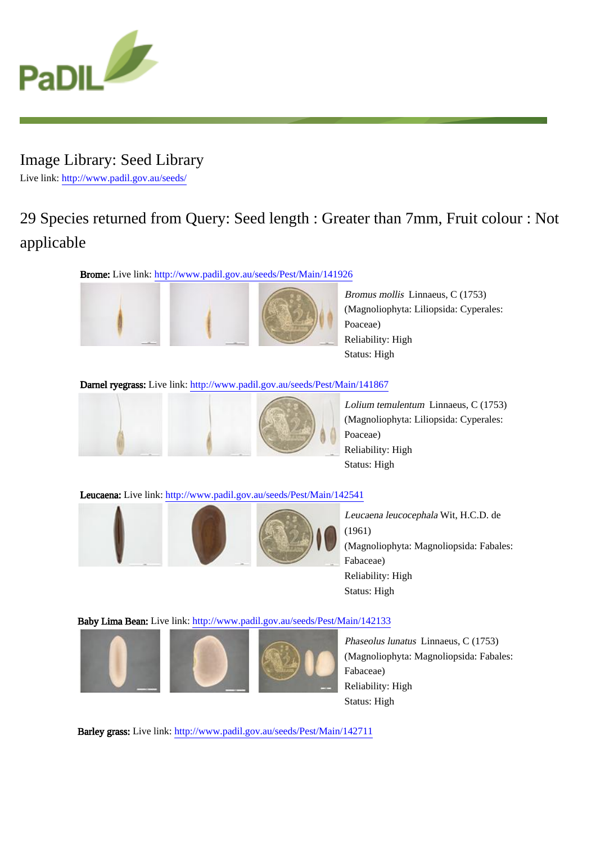

# Image Library: Seed Library Live link: http://www.padil.gov.au/seeds/

# 29 Species returned from Query: Seed length : Greater than 7mm, Fruit colour : Not applicable

Brome: Live link: http://www.padil.gov.au/seeds/Pest/Main/141926





Bromus mollis Linnaeus, C (1753) (Magnoliophyta: Liliopsida: Cyperales: Poaceae) Reliability: High Status: High

### Darnel ryegrass: Live link: http://www.padil.gov.au/seeds/Pest/Main/141867





Lolium temulentum Linnaeus, C (1753) (Magnoliophyta: Liliopsida: Cyperales: Poaceae) Reliability: High Status: High

Leucaena: Live link: http://www.padil.gov.au/seeds/Pest/Main/142541







Leucaena leucocephala Wit, H.C.D. de (1961) (Magnoliophyta: Magnoliopsida: Fabales: Fabaceae) Reliability: High Status: High

# Baby Lima Bean: Live link: http://www.padil.gov.au/seeds/Pest/Main/142133







Phaseolus lunatus Linnaeus, C (1753) (Magnoliophyta: Magnoliopsida: Fabales: Fabaceae) Reliability: High Status: High

Barley grass: Live link: http://www.padil.gov.au/seeds/Pest/Main/142711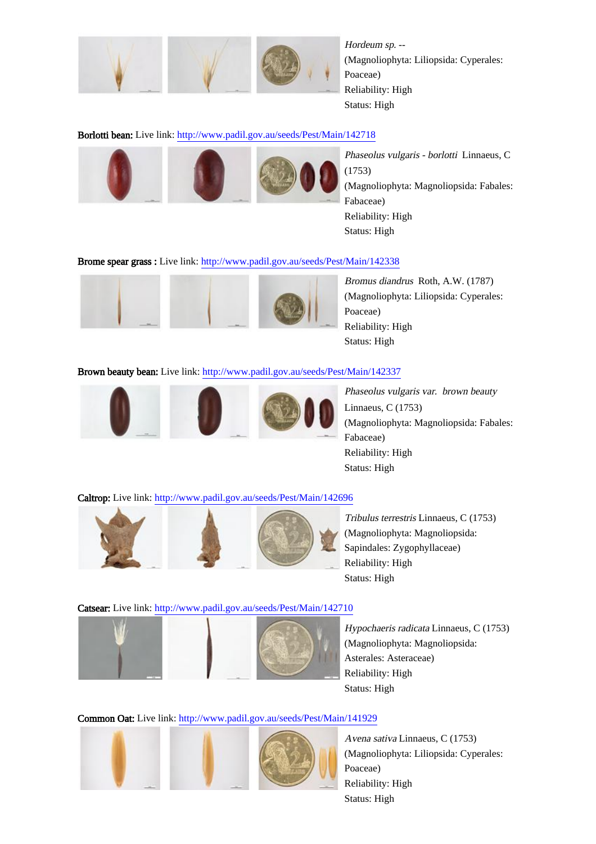

Hordeum sp. -- (Magnoliophyta: Liliopsida: Cyperales: Poaceae) Reliability: High Status: High

### Borlotti bean: Live link: http://www.padil.gov.au/seeds/Pest/Main/142718







Phaseolus vulgaris - borlotti Linnaeus, C (1753) (Magnoliophyta: Magnoliopsida: Fabales: Fabaceae) Reliability: High Status: High

#### Brome spear grass : Live link: http://www.padil.gov.au/seeds/Pest/Main/142338



Bromus diandrus Roth, A.W. (1787) (Magnoliophyta: Liliopsida: Cyperales: Poaceae) Reliability: High Status: High

#### Brown beauty bean: Live link: http://www.padil.gov.au/seeds/Pest/Main/142337



Phaseolus vulgaris var. brown beauty Linnaeus, C (1753) (Magnoliophyta: Magnoliopsida: Fabales: Fabaceae) Reliability: High Status: High

#### Caltrop: Live link: http://www.padil.gov.au/seeds/Pest/Main/142696



Tribulus terrestris Linnaeus, C (1753) (Magnoliophyta: Magnoliopsida: Sapindales: Zygophyllaceae) Reliability: High Status: High

#### Catsear: Live link: http://www.padil.gov.au/seeds/Pest/Main/142710







Hypochaeris radicata Linnaeus, C (1753) (Magnoliophyta: Magnoliopsida: Asterales: Asteraceae) Reliability: High Status: High

# Common Oat: Live link: http://www.padil.gov.au/seeds/Pest/Main/141929





Avena sativa Linnaeus, C (1753) (Magnoliophyta: Liliopsida: Cyperales: Poaceae) Reliability: High Status: High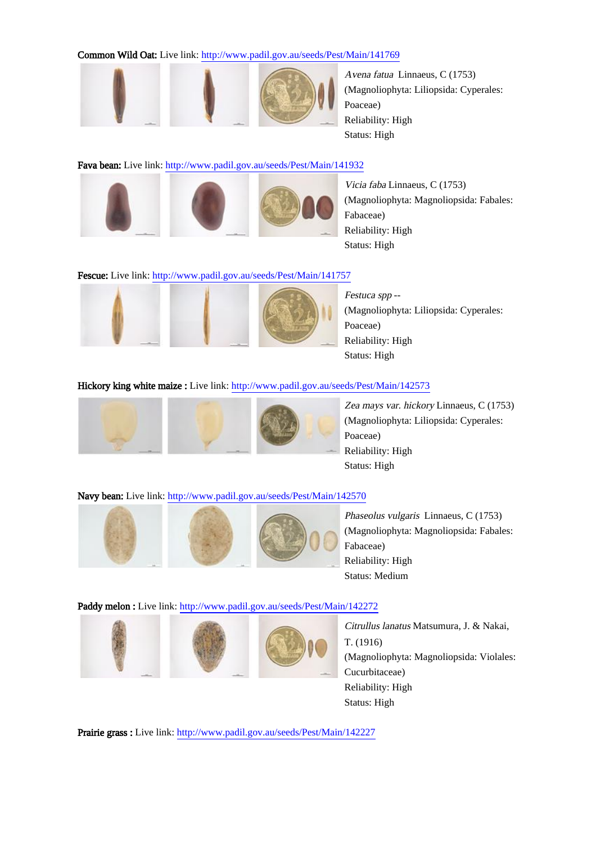#### Common Wild Oat: Live link: http://www.padil.gov.au/seeds/Pest/Main/141769





Avena fatua Linnaeus, C (1753) (Magnoliophyta: Liliopsida: Cyperales: Poaceae) Reliability: High Status: High

#### Fava bean: Live link: http://www.padil.gov.au/seeds/Pest/Main/141932







Vicia faba Linnaeus, C (1753) (Magnoliophyta: Magnoliopsida: Fabales: Fabaceae) Reliability: High Status: High

#### Fescue: Live link: http://www.padil.gov.au/seeds/Pest/Main/141757







Festuca spp --(Magnoliophyta: Liliopsida: Cyperales: Poaceae) Reliability: High Status: High

#### Hickory king white maize : Live link: http://www.padil.gov.au/seeds/Pest/Main/142573







Zea mays var. hickory Linnaeus, C (1753) (Magnoliophyta: Liliopsida: Cyperales: Poaceae) Reliability: High Status: High

### Navy bean: Live link: http://www.padil.gov.au/seeds/Pest/Main/142570







Phaseolus vulgaris Linnaeus, C (1753) (Magnoliophyta: Magnoliopsida: Fabales: Fabaceae) Reliability: High Status: Medium

#### Paddy melon : Live link: http://www.padil.gov.au/seeds/Pest/Main/142272







Citrullus lanatus Matsumura, J. & Nakai, T. (1916) (Magnoliophyta: Magnoliopsida: Violales: Cucurbitaceae) Reliability: High Status: High

Prairie grass : Live link: http://www.padil.gov.au/seeds/Pest/Main/142227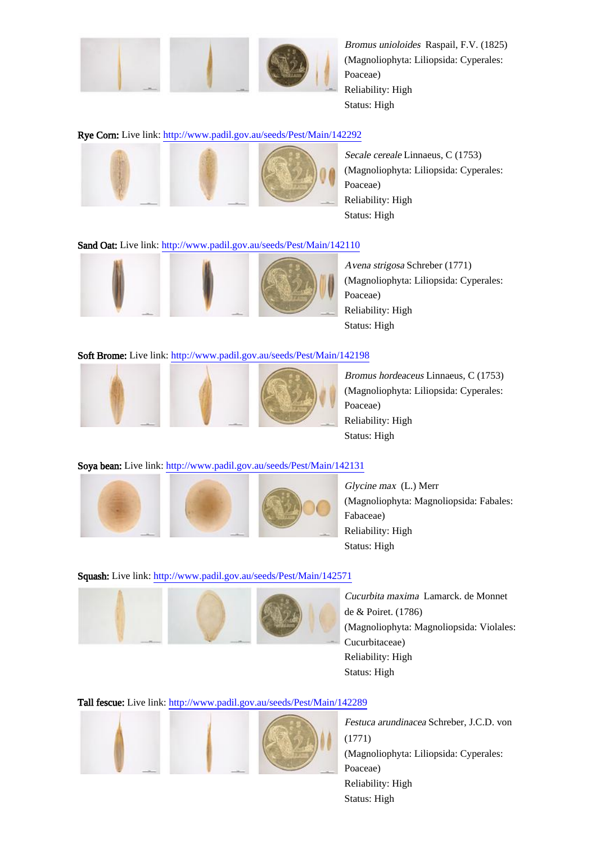

Bromus unioloides Raspail, F.V. (1825) (Magnoliophyta: Liliopsida: Cyperales: Poaceae) Reliability: High Status: High

### Rye Corn: Live link: http://www.padil.gov.au/seeds/Pest/Main/142292







Secale cereale Linnaeus, C (1753) (Magnoliophyta: Liliopsida: Cyperales: Poaceae) Reliability: High Status: High

#### Sand Oat: Live link: http://www.padil.gov.au/seeds/Pest/Main/142110





Avena strigosa Schreber (1771) (Magnoliophyta: Liliopsida: Cyperales: Poaceae) Reliability: High Status: High

#### Soft Brome: Live link: http://www.padil.gov.au/seeds/Pest/Main/142198







Bromus hordeaceus Linnaeus, C (1753) (Magnoliophyta: Liliopsida: Cyperales: Poaceae) Reliability: High Status: High

### Soya bean: Live link: http://www.padil.gov.au/seeds/Pest/Main/142131







Glycine max (L.) Merr (Magnoliophyta: Magnoliopsida: Fabales: Fabaceae) Reliability: High Status: High

#### Squash: Live link: http://www.padil.gov.au/seeds/Pest/Main/142571







Cucurbita maxima Lamarck. de Monnet de & Poiret. (1786) (Magnoliophyta: Magnoliopsida: Violales: Cucurbitaceae) Reliability: High Status: High

# Tall fescue: Live link: http://www.padil.gov.au/seeds/Pest/Main/142289



Festuca arundinacea Schreber, J.C.D. von (1771) (Magnoliophyta: Liliopsida: Cyperales: Poaceae) Reliability: High Status: High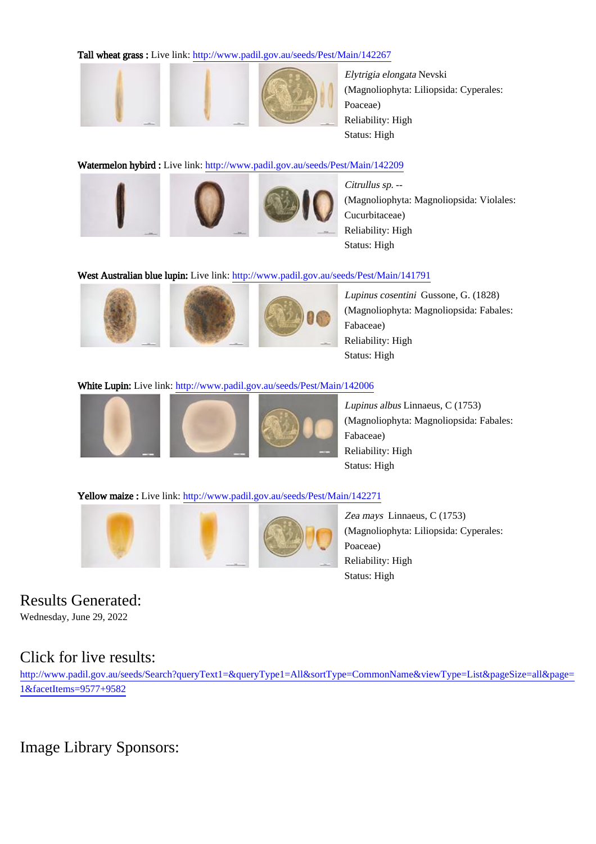Tall wheat grass : Live link: http://www.padil.gov.au/seeds/Pest/Main/142267





Elytrigia elongata Nevski (Magnoliophyta: Liliopsida: Cyperales: Poaceae) Reliability: High Status: High

# Watermelon hybird : Live link: http://www.padil.gov.au/seeds/Pest/Main/142209







Citrullus sp. -- (Magnoliophyta: Magnoliopsida: Violales: Cucurbitaceae) Reliability: High Status: High

# West Australian blue lupin: Live link: http://www.padil.gov.au/seeds/Pest/Main/141791







Lupinus cosentini Gussone, G. (1828) (Magnoliophyta: Magnoliopsida: Fabales: Fabaceae) Reliability: High Status: High

# White Lupin: Live link: http://www.padil.gov.au/seeds/Pest/Main/142006







Lupinus albus Linnaeus, C (1753) (Magnoliophyta: Magnoliopsida: Fabales: Fabaceae) Reliability: High Status: High

# Yellow maize : Live link: http://www.padil.gov.au/seeds/Pest/Main/142271







Zea mays Linnaeus, C (1753) (Magnoliophyta: Liliopsida: Cyperales: Poaceae) Reliability: High Status: High

# Results Generated:

Wednesday, June 29, 2022

# Click for live results:

http://www.padil.gov.au/seeds/Search?queryText1=&queryType1=All&sortType=CommonName&viewType=List&pageSize=all&page= 1&facetItems=9577+9582

# Image Library Sponsors: